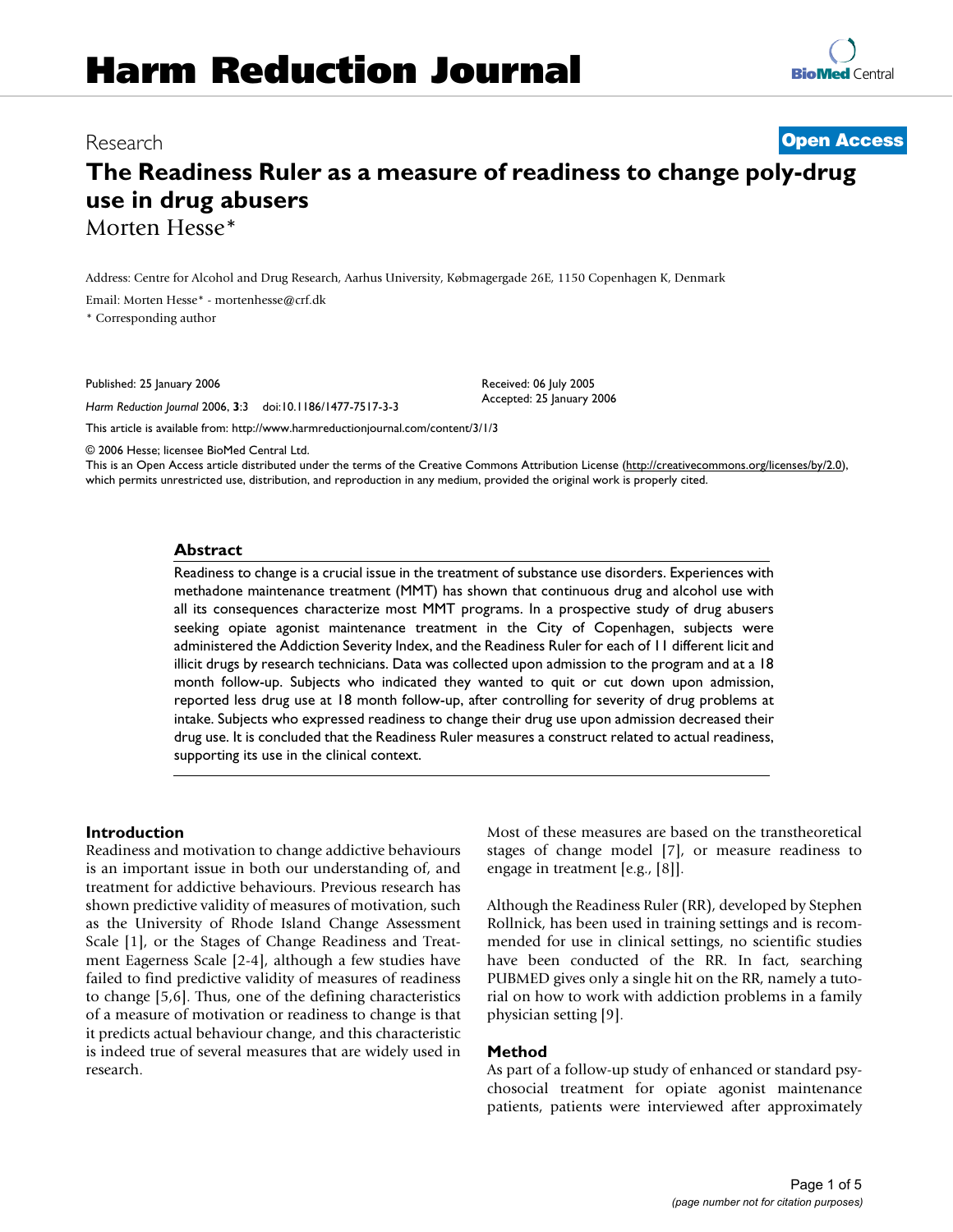# Research **[Open Access](http://www.biomedcentral.com/info/about/charter/)**

# **The Readiness Ruler as a measure of readiness to change poly-drug use in drug abusers** Morten Hesse\*

Address: Centre for Alcohol and Drug Research, Aarhus University, Købmagergade 26E, 1150 Copenhagen K, Denmark

Email: Morten Hesse\* - mortenhesse@crf.dk

\* Corresponding author

Published: 25 January 2006

*Harm Reduction Journal* 2006, **3**:3 doi:10.1186/1477-7517-3-3

[This article is available from: http://www.harmreductionjournal.com/content/3/1/3](http://www.harmreductionjournal.com/content/3/1/3)

© 2006 Hesse; licensee BioMed Central Ltd.

This is an Open Access article distributed under the terms of the Creative Commons Attribution License [\(http://creativecommons.org/licenses/by/2.0\)](http://creativecommons.org/licenses/by/2.0), which permits unrestricted use, distribution, and reproduction in any medium, provided the original work is properly cited.

Received: 06 July 2005 Accepted: 25 January 2006

#### **Abstract**

Readiness to change is a crucial issue in the treatment of substance use disorders. Experiences with methadone maintenance treatment (MMT) has shown that continuous drug and alcohol use with all its consequences characterize most MMT programs. In a prospective study of drug abusers seeking opiate agonist maintenance treatment in the City of Copenhagen, subjects were administered the Addiction Severity Index, and the Readiness Ruler for each of 11 different licit and illicit drugs by research technicians. Data was collected upon admission to the program and at a 18 month follow-up. Subjects who indicated they wanted to quit or cut down upon admission, reported less drug use at 18 month follow-up, after controlling for severity of drug problems at intake. Subjects who expressed readiness to change their drug use upon admission decreased their drug use. It is concluded that the Readiness Ruler measures a construct related to actual readiness, supporting its use in the clinical context.

#### **Introduction**

Readiness and motivation to change addictive behaviours is an important issue in both our understanding of, and treatment for addictive behaviours. Previous research has shown predictive validity of measures of motivation, such as the University of Rhode Island Change Assessment Scale [1], or the Stages of Change Readiness and Treatment Eagerness Scale [2-4], although a few studies have failed to find predictive validity of measures of readiness to change [5,6]. Thus, one of the defining characteristics of a measure of motivation or readiness to change is that it predicts actual behaviour change, and this characteristic is indeed true of several measures that are widely used in research.

Most of these measures are based on the transtheoretical stages of change model [7], or measure readiness to engage in treatment [e.g., [8]].

Although the Readiness Ruler (RR), developed by Stephen Rollnick, has been used in training settings and is recommended for use in clinical settings, no scientific studies have been conducted of the RR. In fact, searching PUBMED gives only a single hit on the RR, namely a tutorial on how to work with addiction problems in a family physician setting [9].

#### **Method**

As part of a follow-up study of enhanced or standard psychosocial treatment for opiate agonist maintenance patients, patients were interviewed after approximately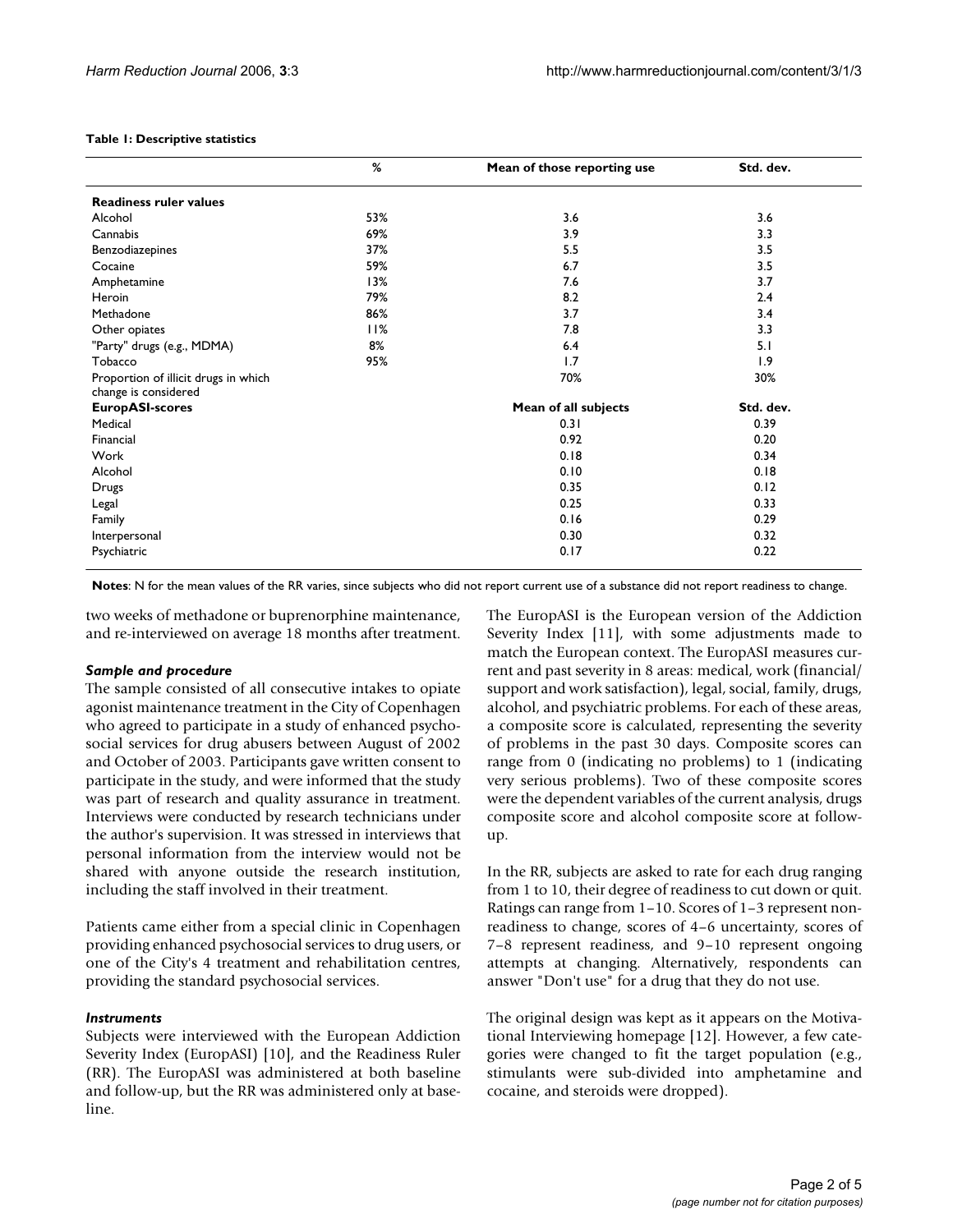#### **Table 1: Descriptive statistics**

|                                                              | %   | Mean of those reporting use | Std. dev. |
|--------------------------------------------------------------|-----|-----------------------------|-----------|
| <b>Readiness ruler values</b>                                |     |                             |           |
| Alcohol                                                      | 53% | 3.6                         | 3.6       |
| Cannabis                                                     | 69% | 3.9                         | 3.3       |
| Benzodiazepines                                              | 37% | 5.5                         | 3.5       |
| Cocaine                                                      | 59% | 6.7                         | 3.5       |
| Amphetamine                                                  | 13% | 7.6                         | 3.7       |
| Heroin                                                       | 79% | 8.2                         | 2.4       |
| Methadone                                                    | 86% | 3.7                         | 3.4       |
| Other opiates                                                | 11% | 7.8                         | 3.3       |
| "Party" drugs (e.g., MDMA)                                   | 8%  | 6.4                         | 5.1       |
| Tobacco                                                      | 95% | 1.7                         | 1.9       |
| Proportion of illicit drugs in which<br>change is considered |     | 70%                         | 30%       |
| <b>EuropASI-scores</b>                                       |     | Mean of all subjects        | Std. dev. |
| Medical                                                      |     | 0.31                        | 0.39      |
| Financial                                                    |     | 0.92                        | 0.20      |
| Work                                                         |     | 0.18                        | 0.34      |
| Alcohol                                                      |     | 0.10                        | 0.18      |
| Drugs                                                        |     | 0.35                        | 0.12      |
| Legal                                                        |     | 0.25                        | 0.33      |
| Family                                                       |     | 0.16                        | 0.29      |
| Interpersonal                                                |     | 0.30                        | 0.32      |
| Psychiatric                                                  |     | 0.17                        | 0.22      |

**Notes**: N for the mean values of the RR varies, since subjects who did not report current use of a substance did not report readiness to change.

two weeks of methadone or buprenorphine maintenance, and re-interviewed on average 18 months after treatment.

#### *Sample and procedure*

The sample consisted of all consecutive intakes to opiate agonist maintenance treatment in the City of Copenhagen who agreed to participate in a study of enhanced psychosocial services for drug abusers between August of 2002 and October of 2003. Participants gave written consent to participate in the study, and were informed that the study was part of research and quality assurance in treatment. Interviews were conducted by research technicians under the author's supervision. It was stressed in interviews that personal information from the interview would not be shared with anyone outside the research institution, including the staff involved in their treatment.

Patients came either from a special clinic in Copenhagen providing enhanced psychosocial services to drug users, or one of the City's 4 treatment and rehabilitation centres, providing the standard psychosocial services.

#### *Instruments*

Subjects were interviewed with the European Addiction Severity Index (EuropASI) [10], and the Readiness Ruler (RR). The EuropASI was administered at both baseline and follow-up, but the RR was administered only at baseline.

The EuropASI is the European version of the Addiction Severity Index [11], with some adjustments made to match the European context. The EuropASI measures current and past severity in 8 areas: medical, work (financial/ support and work satisfaction), legal, social, family, drugs, alcohol, and psychiatric problems. For each of these areas, a composite score is calculated, representing the severity of problems in the past 30 days. Composite scores can range from 0 (indicating no problems) to 1 (indicating very serious problems). Two of these composite scores were the dependent variables of the current analysis, drugs composite score and alcohol composite score at followup.

In the RR, subjects are asked to rate for each drug ranging from 1 to 10, their degree of readiness to cut down or quit. Ratings can range from 1–10. Scores of 1–3 represent nonreadiness to change, scores of 4–6 uncertainty, scores of 7–8 represent readiness, and 9–10 represent ongoing attempts at changing. Alternatively, respondents can answer "Don't use" for a drug that they do not use.

The original design was kept as it appears on the Motivational Interviewing homepage [12]. However, a few categories were changed to fit the target population (e.g., stimulants were sub-divided into amphetamine and cocaine, and steroids were dropped).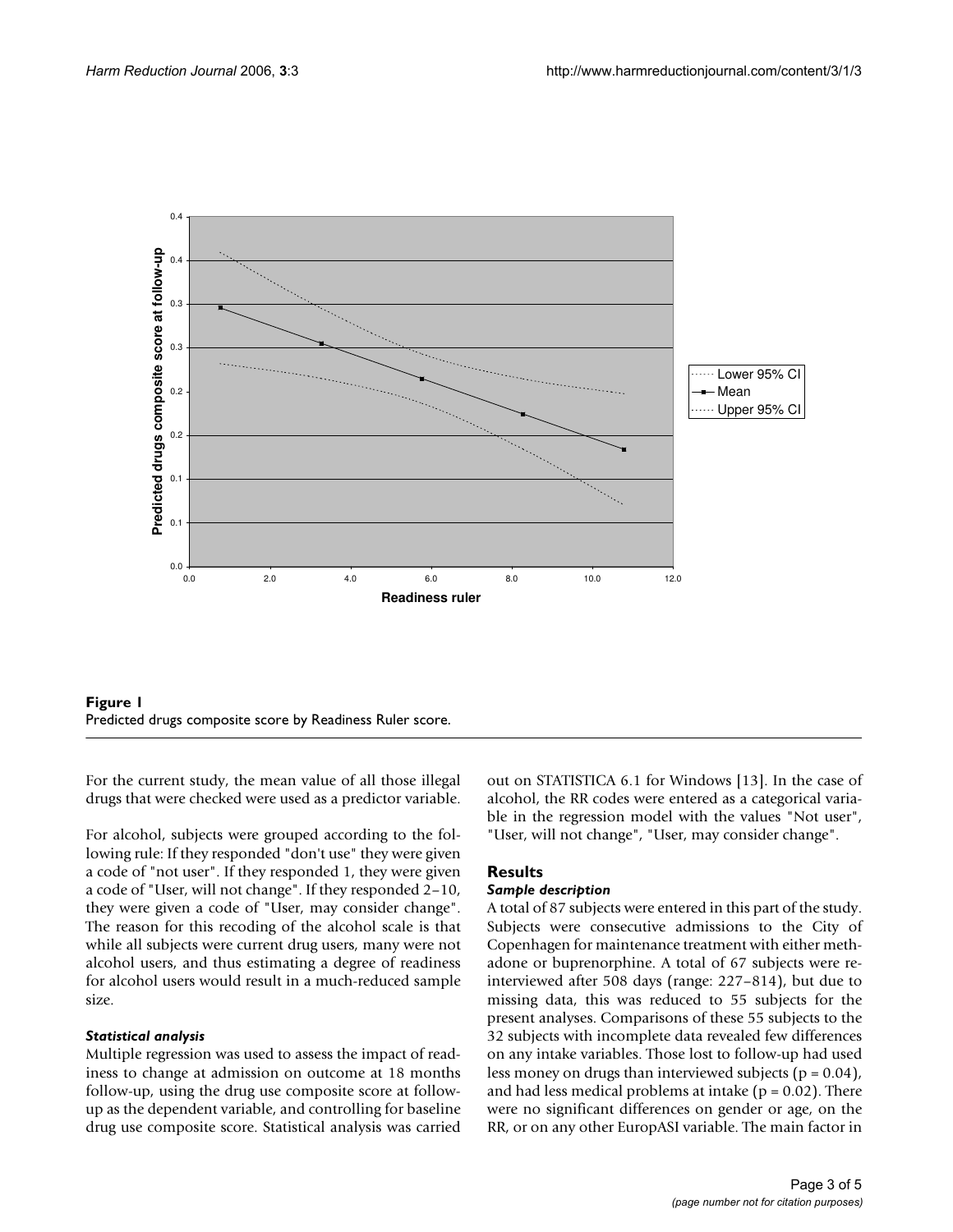

**Figure 1** Predicted drugs composite score by Readiness Ruler score.

For the current study, the mean value of all those illegal drugs that were checked were used as a predictor variable.

For alcohol, subjects were grouped according to the following rule: If they responded "don't use" they were given a code of "not user". If they responded 1, they were given a code of "User, will not change". If they responded 2–10, they were given a code of "User, may consider change". The reason for this recoding of the alcohol scale is that while all subjects were current drug users, many were not alcohol users, and thus estimating a degree of readiness for alcohol users would result in a much-reduced sample size.

#### *Statistical analysis*

Multiple regression was used to assess the impact of readiness to change at admission on outcome at 18 months follow-up, using the drug use composite score at followup as the dependent variable, and controlling for baseline drug use composite score. Statistical analysis was carried out on STATISTICA 6.1 for Windows [13]. In the case of alcohol, the RR codes were entered as a categorical variable in the regression model with the values "Not user", "User, will not change", "User, may consider change".

## **Results**

#### *Sample description*

A total of 87 subjects were entered in this part of the study. Subjects were consecutive admissions to the City of Copenhagen for maintenance treatment with either methadone or buprenorphine. A total of 67 subjects were reinterviewed after 508 days (range: 227–814), but due to missing data, this was reduced to 55 subjects for the present analyses. Comparisons of these 55 subjects to the 32 subjects with incomplete data revealed few differences on any intake variables. Those lost to follow-up had used less money on drugs than interviewed subjects ( $p = 0.04$ ), and had less medical problems at intake ( $p = 0.02$ ). There were no significant differences on gender or age, on the RR, or on any other EuropASI variable. The main factor in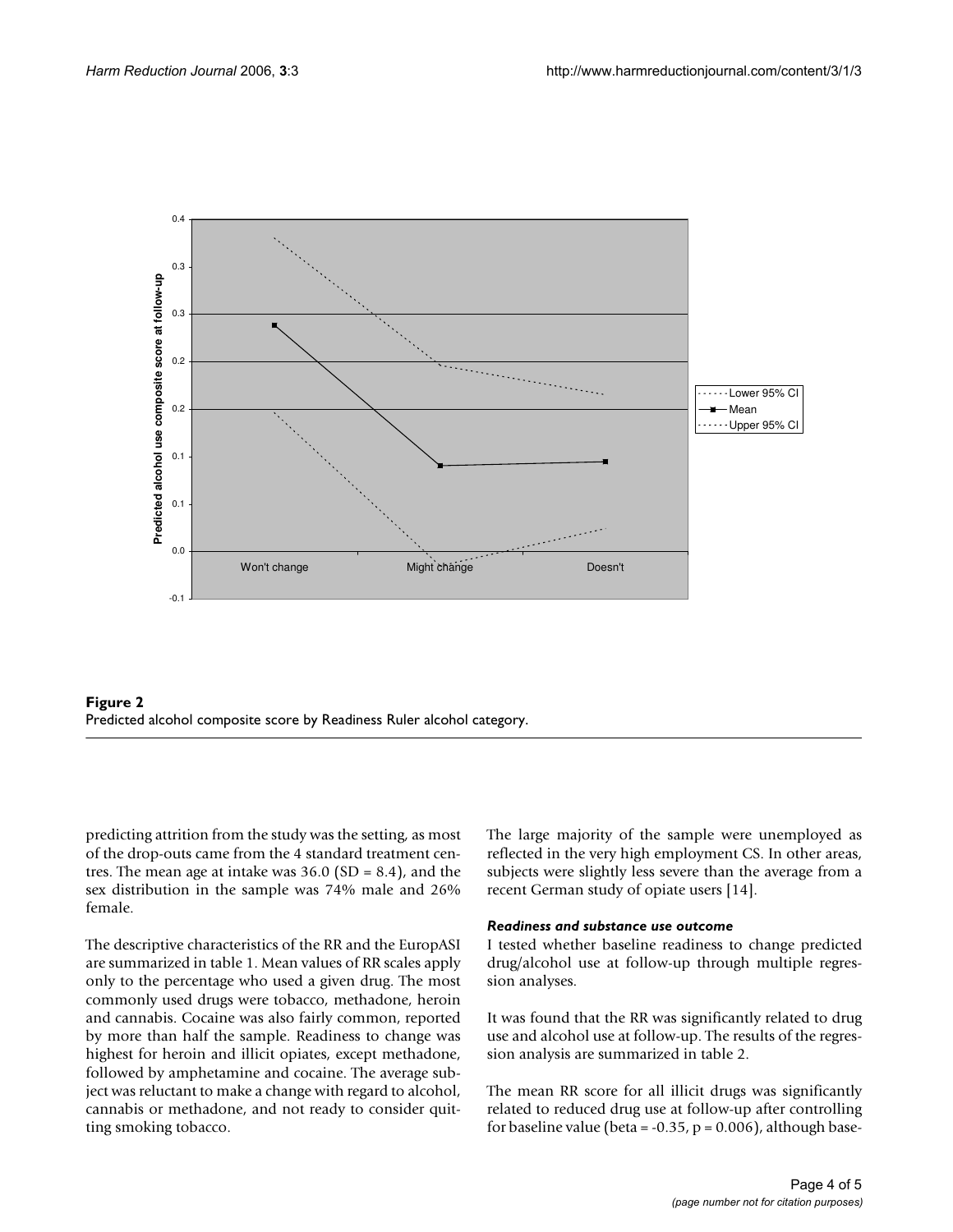



predicting attrition from the study was the setting, as most of the drop-outs came from the 4 standard treatment centres. The mean age at intake was  $36.0$  (SD = 8.4), and the sex distribution in the sample was 74% male and 26% female.

The descriptive characteristics of the RR and the EuropASI are summarized in table 1. Mean values of RR scales apply only to the percentage who used a given drug. The most commonly used drugs were tobacco, methadone, heroin and cannabis. Cocaine was also fairly common, reported by more than half the sample. Readiness to change was highest for heroin and illicit opiates, except methadone, followed by amphetamine and cocaine. The average subject was reluctant to make a change with regard to alcohol, cannabis or methadone, and not ready to consider quitting smoking tobacco.

The large majority of the sample were unemployed as reflected in the very high employment CS. In other areas, subjects were slightly less severe than the average from a recent German study of opiate users [14].

#### *Readiness and substance use outcome*

I tested whether baseline readiness to change predicted drug/alcohol use at follow-up through multiple regression analyses.

It was found that the RR was significantly related to drug use and alcohol use at follow-up. The results of the regression analysis are summarized in table 2.

The mean RR score for all illicit drugs was significantly related to reduced drug use at follow-up after controlling for baseline value (beta =  $-0.35$ , p = 0.006), although base